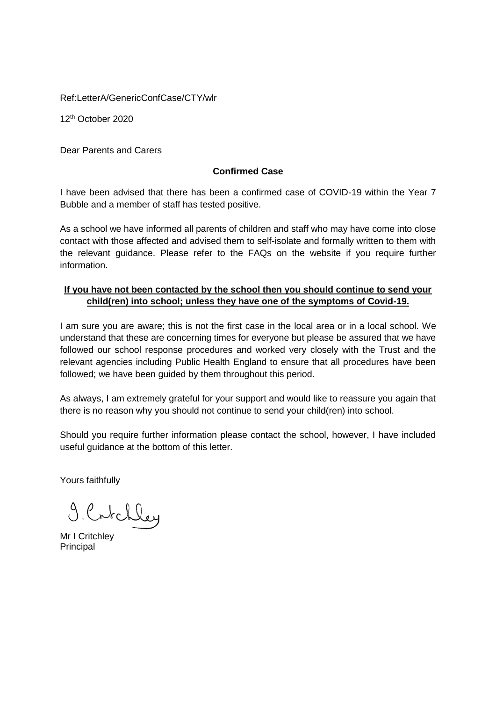Ref:LetterA/GenericConfCase/CTY/wlr

12th October 2020

Dear Parents and Carers

# **Confirmed Case**

I have been advised that there has been a confirmed case of COVID-19 within the Year 7 Bubble and a member of staff has tested positive.

As a school we have informed all parents of children and staff who may have come into close contact with those affected and advised them to self-isolate and formally written to them with the relevant guidance. Please refer to the FAQs on the website if you require further information.

# **If you have not been contacted by the school then you should continue to send your child(ren) into school; unless they have one of the symptoms of Covid-19.**

I am sure you are aware; this is not the first case in the local area or in a local school. We understand that these are concerning times for everyone but please be assured that we have followed our school response procedures and worked very closely with the Trust and the relevant agencies including Public Health England to ensure that all procedures have been followed; we have been guided by them throughout this period.

As always, I am extremely grateful for your support and would like to reassure you again that there is no reason why you should not continue to send your child(ren) into school.

Should you require further information please contact the school, however, I have included useful guidance at the bottom of this letter.

Yours faithfully

9. Crtchley

Mr I Critchley Principal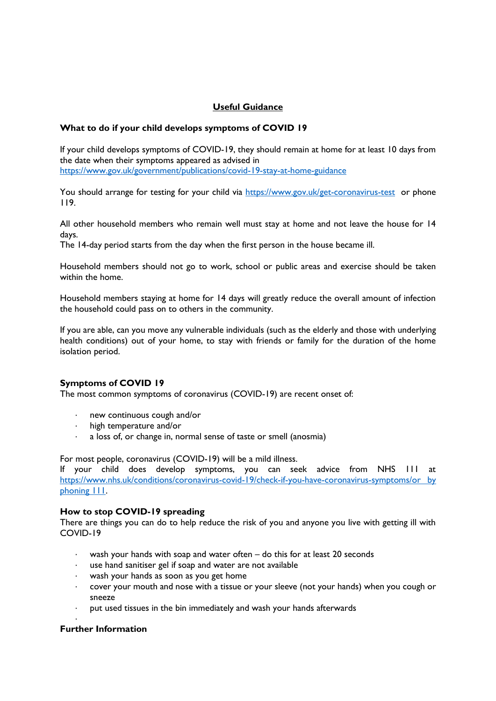## **Useful Guidance**

## **What to do if your child develops symptoms of COVID 19**

If your child develops symptoms of COVID-19, they should remain at home for at least 10 days from the date when their symptoms appeared as advised in <https://www.gov.uk/government/publications/covid-19-stay-at-home-guidance>

You should arrange for testing for your child via<https://www.gov.uk/get-coronavirus-test>or phone 119.

All other household members who remain well must stay at home and not leave the house for 14 days.

The 14-day period starts from the day when the first person in the house became ill.

Household members should not go to work, school or public areas and exercise should be taken within the home.

Household members staying at home for 14 days will greatly reduce the overall amount of infection the household could pass on to others in the community.

If you are able, can you move any vulnerable individuals (such as the elderly and those with underlying health conditions) out of your home, to stay with friends or family for the duration of the home isolation period.

## **Symptoms of COVID 19**

The most common symptoms of coronavirus (COVID-19) are recent onset of:

- new continuous cough and/or
- · high temperature and/or
- · a loss of, or change in, normal sense of taste or smell (anosmia)

For most people, coronavirus (COVID-19) will be a mild illness.

If your child does develop symptoms, you can seek advice from NHS 111 at [https://www.nhs.uk/conditions/coronavirus-covid-19/check-if-you-have-coronavirus-symptoms/or by](https://www.nhs.uk/conditions/coronavirus-covid-19/check-if-you-have-coronavirus-symptoms/or%20by%20phoning%20111)  [phoning 111.](https://www.nhs.uk/conditions/coronavirus-covid-19/check-if-you-have-coronavirus-symptoms/or%20by%20phoning%20111)

### **How to stop COVID-19 spreading**

There are things you can do to help reduce the risk of you and anyone you live with getting ill with COVID-19

- · wash your hands with soap and water often do this for at least 20 seconds
- use hand sanitiser gel if soap and water are not available
- · wash your hands as soon as you get home
- · cover your mouth and nose with a tissue or your sleeve (not your hands) when you cough or sneeze
- put used tissues in the bin immediately and wash your hands afterwards

### **Further Information**

·